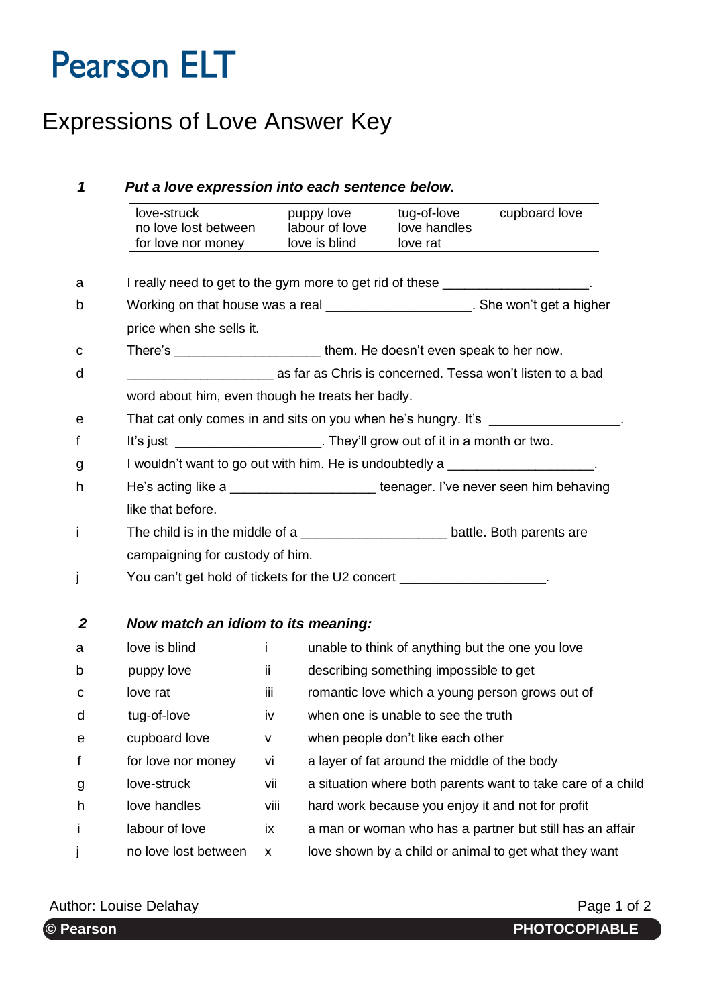# **Pearson ELT**

### Expressions of Love Answer Key

#### *1 Put a love expression into each sentence below.* love-struck puppy love tug-of-love cupboard love no love lost between labour of love love handles<br>for love nor money love is blind love rat for love nor money a I really need to get to the gym more to get rid of these b Working on that house was a real **with the summan and the won't get a higher** price when she sells it. c There's them. He doesn't even speak to her now. d \_\_\_\_\_\_\_\_\_\_\_\_\_\_\_\_\_\_\_\_ as far as Chris is concerned. Tessa won't listen to a bad word about him, even though he treats her badly. e That cat only comes in and sits on you when he's hungry. It's \_\_\_\_\_\_\_\_\_\_\_\_\_\_\_\_\_. f It's just It's just It's just Electron Library'll grow out of it in a month or two. g I wouldn't want to go out with him. He is undoubtedly a \_\_\_\_\_\_\_\_\_\_\_\_\_\_\_\_\_\_\_\_\_\_ h He's acting like a **\_\_\_\_\_\_\_\_\_\_\_\_\_\_\_\_\_\_\_\_\_\_\_** teenager. I've never seen him behaving like that before. i The child is in the middle of a contract the battle. Both parents are campaigning for custody of him. j You can't get hold of tickets for the U2 concert \_\_\_\_\_\_\_\_\_\_\_\_\_\_\_\_\_\_\_\_. *2 Now match an idiom to its meaning:* a love is blind i unable to think of anything but the one you love b puppy love ii describing something impossible to get c love rat iii romantic love which a young person grows out of d tug-of-love iv when one is unable to see the truth e cupboard love v when people don't like each other f for love nor money vi a layer of fat around the middle of the body g love-struck vii a situation where both parents want to take care of a child h love handles viii hard work because you enjoy it and not for profit i labour of love ix a man or woman who has a partner but still has an affair j no love lost between x love shown by a child or animal to get what they want

Author: Louise Delahay **Page 1 of 2** Author: Louise Delahay